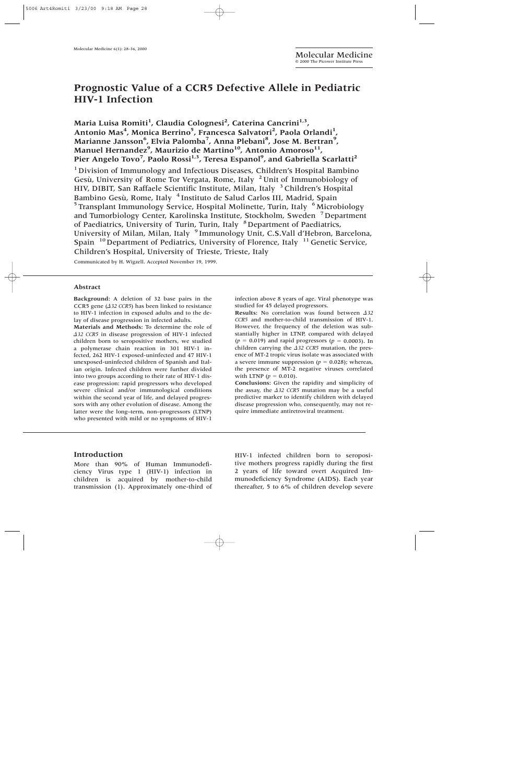# **Prognostic Value of a CCR5 Defective Allele in Pediatric HIV-1 Infection**

Maria Luisa Romiti<sup>1</sup>, Claudia Colognesi<sup>2</sup>, Caterina Cancrini<sup>1,3</sup>, Antonio Mas<sup>4</sup>, Monica Berrino<sup>5</sup>, Francesca Salvatori<sup>2</sup>, Paola Orlandi<sup>1</sup>, **Marianne Jansson6 , Elvia Palomba7 , Anna Plebani8 , Jose M. Bertran9 ,**  Manuel Hernandez<sup>9</sup>, Maurizio de Martino<sup>10</sup>, Antonio Amoroso<sup>11</sup>, **Pier Angelo Tovo7 , Paolo Rossi1,3, Teresa Espanol9 , and Gabriella Scarlatti2**

<sup>1</sup> Division of Immunology and Infectious Diseases, Children's Hospital Bambino Gesù, University of Rome Tor Vergata, Rome, Italy <sup>2</sup> Unit of Immunobiology of HIV, DIBIT, San Raffaele Scientific Institute, Milan, Italy <sup>3</sup> Children's Hospital Bambino Gesù, Rome, Italy <sup>4</sup> Instituto de Salud Carlos III, Madrid, Spain  $5$ Transplant Immunology Service, Hospital Molinette, Turin, Italy  $6$ Microbiology and Tumorbiology Center, Karolinska Institute, Stockholm, Sweden <sup>7</sup> Department of Paediatrics, University of Turin, Turin, Italy <sup>8</sup>Department of Paediatrics, University of Milan, Milan, Italy <sup>9</sup> Immunology Unit, C.S.Vall d'Hebron, Barcelona, Spain  $10^{10}$  Department of Pediatrics, University of Florence, Italy  $11^{11}$  Genetic Service, Children's Hospital, University of Trieste, Trieste, Italy

Communicated by H. Wigzell. Accepted November 19, 1999.

#### **Abstract**

**Background:** A deletion of 32 base pairs in the CCR5 gene ( $\triangle$ 32 CCR5) has been linked to resistance to HIV-1 infection in exposed adults and to the delay of disease progression in infected adults.

**Materials and Methods:** To determine the role of *-32 CCR5* in disease progression of HIV-1 infected children born to seropositive mothers, we studied a polymerase chain reaction in 301 HIV-1 infected, 262 HIV-1 exposed-uninfected and 47 HIV-1 unexposed-uninfected children of Spanish and Italian origin. Infected children were further divided into two groups according to their rate of HIV-1 disease progression: rapid progressors who developed severe clinical and/or immunological conditions within the second year of life, and delayed progressors with any other evolution of disease. Among the latter were the long–term, non–progressors (LTNP) who presented with mild or no symptoms of HIV-1

infection above 8 years of age. Viral phenotype was studied for 45 delayed progressors.

**Results:** No correlation was found between  $\triangle 32$ *CCR5* and mother-to-child transmission of HIV-1. However, the frequency of the deletion was substantially higher in LTNP, compared with delayed  $(p = 0.019)$  and rapid progressors  $(p = 0.0003)$ . In children carrying the  $\triangle$ 32 CCR5 mutation, the presence of MT-2 tropic virus isolate was associated with a severe immune suppression ( $p = 0.028$ ); whereas, the presence of MT-2 negative viruses correlated with LTNP  $(p = 0.010)$ .

**Conclusions:** Given the rapidity and simplicity of the assay, the  $\triangle$ 32 CCR5 mutation may be a useful predictive marker to identify children with delayed disease progression who, consequently, may not require immediate antiretroviral treatment.

## **Introduction**

More than 90% of Human Immunodeficiency Virus type 1 (HIV-1) infection in children is acquired by mother-to-child transmission (1). Approximately one-third of HIV-1 infected children born to seropositive mothers progress rapidly during the first 2 years of life toward overt Acquired Immunodeficiency Syndrome (AIDS). Each year thereafter, 5 to 6% of children develop severe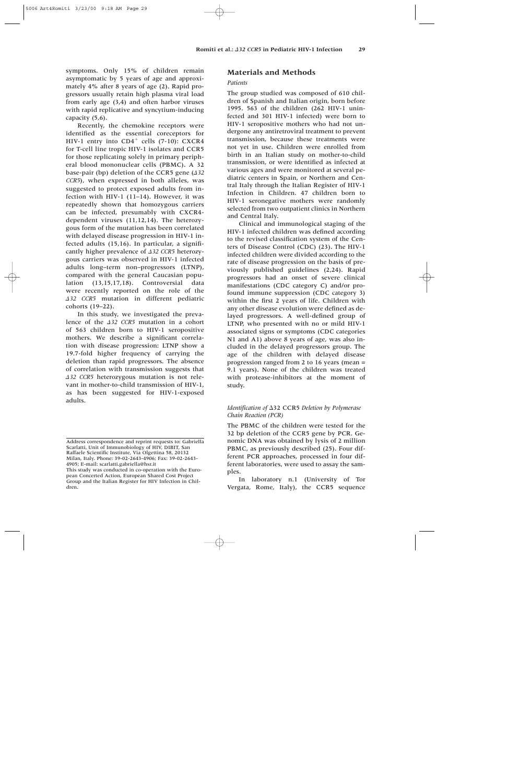symptoms. Only 15% of children remain asymptomatic by 5 years of age and approximately 4% after 8 years of age (2). Rapid progressors usually retain high plasma viral load from early age (3,4) and often harbor viruses with rapid replicative and syncytium-inducing capacity (5,6).

Recently, the chemokine receptors were identified as the essential coreceptors for HIV-1 entry into  $CD4^+$  cells (7-10): CXCR4 for T-cell line tropic HIV-1 isolates and CCR5 for those replicating solely in primary peripheral blood mononuclear cells (PBMC). A 32 base-pair (bp) deletion of the CCR5 gene (*A32 CCR5*), when expressed in both alleles, was suggested to protect exposed adults from infection with HIV-1 (11–14). However, it was repeatedly shown that homozygous carriers can be infected, presumably with CXCR4 dependent viruses (11,12,14). The heterozygous form of the mutation has been correlated with delayed disease progression in HIV-1 infected adults (15,16). In particular, a significantly higher prevalence of  $\triangle$ 32 CCR5 heterozygous carriers was observed in HIV-1 infected adults long–term non–progressors (LTNP), compared with the general Caucasian population (13,15,17,18). Controversial data were recently reported on the role of the *-32 CCR5* mutation in different pediatric cohorts (19–22).

In this study, we investigated the prevalence of the *432 CCR5* mutation in a cohort of 563 children born to HIV-1 seropositive mothers. We describe a significant correlation with disease progression: LTNP show a 19.7-fold higher frequency of carrying the deletion than rapid progressors. The absence of correlation with transmission suggests that *-32 CCR5* heterozygous mutation is not relevant in mother-to-child transmission of HIV-1, as has been suggested for HIV-1-exposed adults.

## **Materials and Methods**

## *Patients*

The group studied was composed of 610 children of Spanish and Italian origin, born before 1995. 563 of the children (262 HIV-1 uninfected and 301 HIV-1 infected) were born to HIV-1 seropositive mothers who had not undergone any antiretroviral treatment to prevent transmission, because these treatments were not yet in use. Children were enrolled from birth in an Italian study on mother-to-child transmission, or were identified as infected at various ages and were monitored at several pediatric centers in Spain, or Northern and Central Italy through the Italian Register of HIV-1 Infection in Children. 47 children born to HIV-1 seronegative mothers were randomly selected from two outpatient clinics in Northern and Central Italy.

Clinical and immunological staging of the HIV-1 infected children was defined according to the revised classification system of the Centers of Disease Control (CDC) (23). The HIV-1 infected children were divided according to the rate of disease progression on the basis of previously published guidelines (2,24). Rapid progressors had an onset of severe clinical manifestations (CDC category C) and/or profound immune suppression (CDC category 3) within the first 2 years of life. Children with any other disease evolution were defined as delayed progressors. A well-defined group of LTNP, who presented with no or mild HIV-1 associated signs or symptoms (CDC categories N1 and A1) above 8 years of age, was also included in the delayed progressors group. The age of the children with delayed disease progression ranged from 2 to 16 years (mean = 9.1 years). None of the children was treated with protease-inhibitors at the moment of study.

## *Identification of* 32 CCR5 *Deletion by Polymerase Chain Reaction (PCR)*

The PBMC of the children were tested for the 32 bp deletion of the CCR5 gene by PCR. Genomic DNA was obtained by lysis of 2 million PBMC, as previously described (25). Four different PCR approaches, processed in four different laboratories, were used to assay the samples.

In laboratory n.1 (University of Tor Vergata, Rome, Italy), the CCR5 sequence

Address correspondence and reprint requests to: Gabriella Scarlatti, Unit of Immunobiology of HIV, DIBIT, San Raffaele Scientific Institute, Via Olgettina 58, 20132 Milan, Italy. Phone: 39-02-2643-4906; Fax: 39-02-2643- 4905; E-mail: scarlatti.gabriella@hsr.it

This study was conducted in co-operation with the European Concerted Action, European Shared Cost Project Group and the Italian Register for HIV Infection in Children.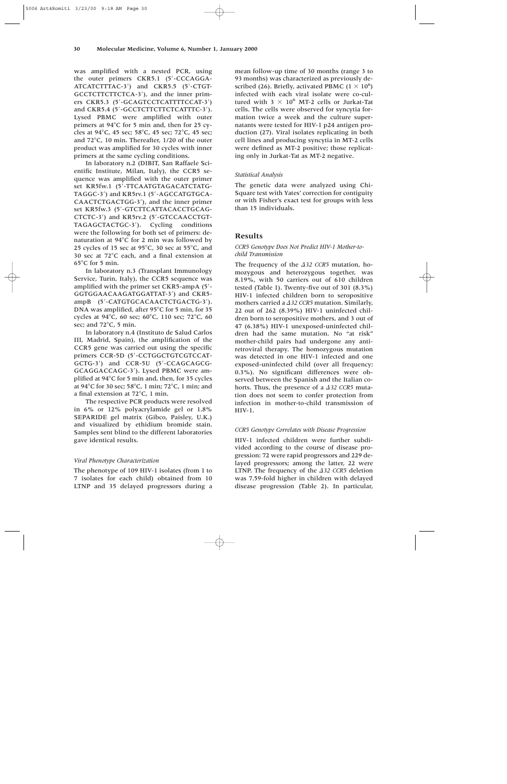was amplified with a nested PCR, using the outer primers CKR5.1 (5-CCCAGGA-ATCATCTTTAC-3) and CKR5.5 (5-CTGT-GCCTCTTCTTCTCA-3'), and the inner primers CKR5.3 (5'-GCAGTCCTCATTTTCCAT-3') and CKR5.4 (5'-GCCTCTTCTTCTCATTTC-3'). Lysed PBMC were amplified with outer primers at  $94^{\circ}$ C for 5 min and, then for 25 cycles at 94 $^{\circ}$ C, 45 sec; 58 $^{\circ}$ C, 45 sec; 72 $^{\circ}$ C, 45 sec; and  $72^{\circ}$ C, 10 min. Thereafter,  $1/20$  of the outer product was amplified for 30 cycles with inner primers at the same cycling conditions.

In laboratory n.2 (DIBIT, San Raffaele Scientific Institute, Milan, Italy), the CCR5 sequence was amplified with the outer primer set KR5fw.1 (5'-TTCAATGTAGACATCTATG-TAGGC-3') and KR5rv.1 (5'-AGCCATGTGCA-CAACTCTGACTGG-3), and the inner primer set KR5fw.3 (5'-GTCTTCATTACACCTGCAG-CTCTC-3') and KR5rv.2 (5'-GTCCAACCTGT-TAGAGCTACTGC-3). Cycling conditions were the following for both set of primers: denaturation at  $94^{\circ}$ C for 2 min was followed by 25 cycles of 15 sec at 95 $\degree$ C, 30 sec at 55 $\degree$ C, and 30 sec at  $72^{\circ}$ C each, and a final extension at  $65^{\circ}$ C for 5 min.

In laboratory n.3 (Transplant Immunology Service, Turin, Italy), the CCR5 sequence was amplified with the primer set CKR5-ampA (5- GGTGGAACAAGATGGATTAT-3) and CKR5 ampB (5'-CATGTGCACAACTCTGACTG-3'). DNA was amplified, after  $95^{\circ}$ C for 5 min, for 35 cycles at 94 $^{\circ}$ C, 60 sec; 60 $^{\circ}$ C, 110 sec; 72 $^{\circ}$ C, 60 sec; and  $72^{\circ}$ C, 5 min.

In laboratory n.4 (Instituto de Salud Carlos III, Madrid, Spain), the amplification of the CCR5 gene was carried out using the specific primers CCR-5D (5'-CCTGGCTGTCGTCCAT-GCTG-3) and CCR-5U (5-CCAGCAGCG-GCAGGACCAGC-3). Lysed PBMC were amplified at  $94^{\circ}$ C for 5 min and, then, for 35 cycles at 94 $\rm ^{\circ}$ C for 30 sec; 58 $\rm ^{\circ}$ C, 1 min; 72 $\rm ^{\circ}$ C, 1 min; and a final extension at  $72^{\circ}$ C, 1 min.

The respective PCR products were resolved in 6% or 12% polyacrylamide gel or 1.8% SEPARIDE gel matrix (Gibco, Paisley, U.K.) and visualized by ethidium bromide stain. Samples sent blind to the different laboratories gave identical results.

## *Viral Phenotype Characterization*

The phenotype of 109 HIV-1 isolates (from 1 to 7 isolates for each child) obtained from 10 LTNP and 35 delayed progressors during a mean follow-up time of 30 months (range 3 to 93 months) was characterized as previously described (26). Briefly, activated PBMC (1  $\times$  10<sup>6</sup>) infected with each viral isolate were co-cultured with 3  $\times$  10<sup>6</sup> MT-2 cells or Jurkat-Tat cells. The cells were observed for syncytia formation twice a week and the culture supernatants were tested for HIV-1 p24 antigen production (27). Viral isolates replicating in both cell lines and producing syncytia in MT-2 cells were defined as MT-2 positive; those replicating only in Jurkat-Tat as MT-2 negative.

## *Statistical Analysis*

The genetic data were analyzed using Chi-Square test with Yates' correction for contiguity or with Fisher's exact test for groups with less than 15 individuals.

## **Results**

## *CCR5 Genotype Does Not Predict HIV-1 Mother-tochild Transmission*

The frequency of the  $\Delta$ 32 CCR5 mutation, homozygous and heterozygous together, was 8.19%, with 50 carriers out of 610 children tested (Table 1). Twenty-five out of 301 (8.3%) HIV-1 infected children born to seropositive mothers carried a  $\triangle$ 32 CCR5 mutation. Similarly, 22 out of 262 (8.39%) HIV-1 uninfected children born to seropositive mothers, and 3 out of 47 (6.38%) HIV-1 unexposed-uninfected children had the same mutation. No "at risk" mother-child pairs had undergone any antiretroviral therapy. The homozygous mutation was detected in one HIV-1 infected and one exposed-uninfected child (over all frequency: 0.3%). No significant differences were observed between the Spanish and the Italian cohorts. Thus, the presence of a  $\triangle$ 32 CCR5 mutation does not seem to confer protection from infection in mother-to-child transmission of HIV-1.

#### *CCR5 Genotype Correlates with Disease Progression*

HIV-1 infected children were further subdivided according to the course of disease progression: 72 were rapid progressors and 229 delayed progressors; among the latter, 22 were LTNP. The frequency of the  $\triangle$ 32 CCR5 deletion was 7.59-fold higher in children with delayed disease progression (Table 2). In particular,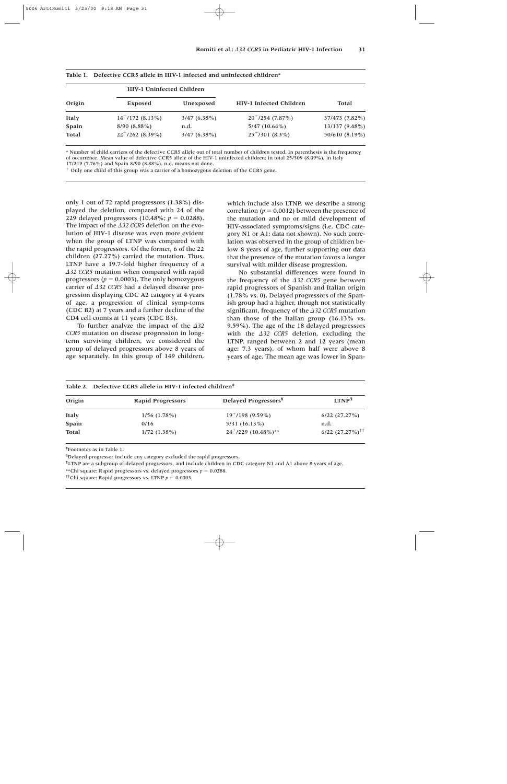| Origin       | <b>HIV-1 Uninfected Children</b> |                | HIV-1 Infected Children |                |  |
|--------------|----------------------------------|----------------|-------------------------|----------------|--|
|              | <b>Exposed</b>                   | Unexposed      |                         | <b>Total</b>   |  |
| <b>Italy</b> | $14^+/172$ (8.13%)               | $3/47(6.38\%)$ | $20^+/254$ (7.87%)      | 37/473 (7.82%) |  |
| Spain        | $8/90(8.88\%)$                   | n.d.           | $5/47(10.64\%)$         | 13/137 (9.48%) |  |
| <b>Total</b> | $22^{+}/262$ (8.39%)             | $3/47(6.38\%)$ | $25^+/301$ (8.3%)       | 50/610 (8.19%) |  |

|  |  |  |  |  |  |  | Table 1. Defective CCR5 allele in HIV-1 infected and uninfected children* |  |
|--|--|--|--|--|--|--|---------------------------------------------------------------------------|--|
|--|--|--|--|--|--|--|---------------------------------------------------------------------------|--|

\* Number of child carriers of the defective CCR5 allele out of total number of children tested. In parenthesis is the frequency of occurrence. Mean value of defective CCR5 allele of the HIV-1 uninfected children: in total 25/309 (8.09%), in Italy 17/219 (7.76%) and Spain 8/90 (8.88%). n.d. means not done.

 $<sup>+</sup>$  Only one child of this group was a carrier of a homozygous deletion of the CCR5 gene.</sup>

only 1 out of 72 rapid progressors (1.38%) displayed the deletion, compared with 24 of the 229 delayed progressors  $(10.48\%; p = 0.0288)$ . The impact of the  $\Delta$ 32 CCR5 deletion on the evolution of HIV-1 disease was even more evident when the group of LTNP was compared with the rapid progressors. Of the former, 6 of the 22 children (27.27%) carried the mutation. Thus, LTNP have a 19.7-fold higher frequency of a *-32 CCR5* mutation when compared with rapid progressors ( $p = 0.0003$ ). The only homozygous carrier of  $\triangle$ 32 CCR5 had a delayed disease progression displaying CDC A2 category at 4 years of age, a progression of clinical symp-toms (CDC B2) at 7 years and a further decline of the CD4 cell counts at 11 years (CDC B3).

To further analyze the impact of the  $\Delta$ 32 *CCR5* mutation on disease progression in longterm surviving children, we considered the group of delayed progressors above 8 years of age separately. In this group of 149 children, which include also LTNP, we describe a strong correlation ( $p = 0.0012$ ) between the presence of the mutation and no or mild development of HIV-associated symptoms/signs (i.e. CDC category N1 or A1; data not shown). No such correlation was observed in the group of children below 8 years of age, further supporting our data that the presence of the mutation favors a longer survival with milder disease progression.

No substantial differences were found in the frequency of the  $\Delta$ 32 CCR5 gene between rapid progressors of Spanish and Italian origin (1.78% vs. 0). Delayed progressors of the Spanish group had a higher, though not statistically significant, frequency of the  $\Delta$ 32 CCR5 mutation than those of the Italian group (16.13% vs. 9.59%). The age of the 18 delayed progressors with the  $\Delta$ 32 CCR5 deletion, excluding the LTNP, ranged between 2 and 12 years (mean age: 7.3 years), of whom half were above 8 years of age. The mean age was lower in Span-

| Table 2. Defective CCR5 allele in HIV-1 infected children <sup>#</sup> |                          |                                  |                                  |  |  |
|------------------------------------------------------------------------|--------------------------|----------------------------------|----------------------------------|--|--|
| Origin                                                                 | <b>Rapid Progressors</b> | Delayed Progressors <sup>§</sup> | LTNP <sup>II</sup>               |  |  |
| Italy                                                                  | $1/56$ $(1.78\%)$        | $19^+/198$ (9.59%)               | $6/22$ $(27.27%)$                |  |  |
| Spain                                                                  | 0/16                     | $5/31$ (16.13%)                  | n.d.                             |  |  |
| <b>Total</b>                                                           | $1/72$ $(1.38\%)$        | $24^{+}/229$ (10.48%)**          | $6/22$ $(27.27\%)$ <sup>++</sup> |  |  |

‡ Footnotes as in Table 1.

§ Delayed progressor include any category excluded the rapid progressors.

¶ LTNP are a subgroup of delayed progressors, and include children in CDC category N1 and A1 above 8 years of age.

\*\*Chi square: Rapid progressors vs. delayed progressors  $p = 0.0288$ .

<sup>††</sup>Chi square: Rapid progressors vs. LTNP  $p = 0.0003$ .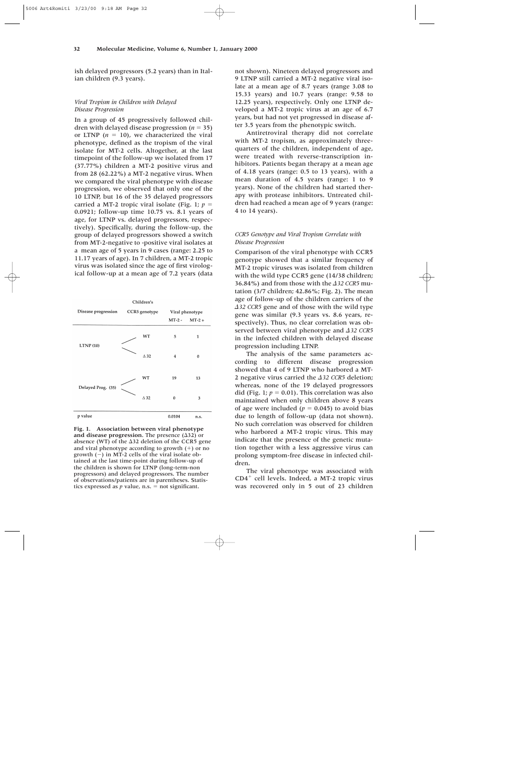ish delayed progressors (5.2 years) than in Italian children (9.3 years).

## *Viral Tropism in Children with Delayed Disease Progression*

In a group of 45 progressively followed children with delayed disease progression ( $n = 35$ ) or LTNP  $(n = 10)$ , we characterized the viral phenotype, defined as the tropism of the viral isolate for MT-2 cells. Altogether, at the last timepoint of the follow-up we isolated from 17 (37.77%) children a MT-2 positive virus and from 28 (62.22%) a MT-2 negative virus. When we compared the viral phenotype with disease progression, we observed that only one of the 10 LTNP, but 16 of the 35 delayed progressors carried a MT-2 tropic viral isolate (Fig. 1;  $p =$ 0.0921; follow-up time 10.75 vs. 8.1 years of age, for LTNP vs. delayed progressors, respectively). Specifically, during the follow-up, the group of delayed progressors showed a switch from MT-2-negative to -positive viral isolates at a mean age of 5 years in 9 cases (range: 2.25 to 11.17 years of age). In 7 children, a MT-2 tropic virus was isolated since the age of first virological follow-up at a mean age of 7.2 years (data

|                     | Children's     |                 |          |  |
|---------------------|----------------|-----------------|----------|--|
| Disease progression | CCR5 genotype  | Viral phenotype |          |  |
|                     |                | $MT-2$ -        | $MT-2 +$ |  |
| LTNP(10)            | WТ             | 5               | 1        |  |
|                     | $\triangle$ 32 | 4               | $\bf{0}$ |  |
| Delayed Prog. (35)  | WT             | 19              | 13       |  |
|                     | $\Delta$ 32    | $\bf{0}$        | 3        |  |
| p value             |                | 0.0104          | n.s.     |  |

**Fig. 1. Association between viral phenotype** and disease progression. The presence  $(\Delta 32)$  or absence (WT) of the  $\Delta$ 32 deletion of the CCR5 gene and viral phenotype according to growth  $(+)$  or no growth  $(-)$  in MT-2 cells of the viral isolate obtained at the last time-point during follow-up of the children is shown for LTNP (long-term-non progressors) and delayed progressors. The number of observations/patients are in parentheses. Statistics expressed as  $p$  value, n.s.  $=$  not significant.

not shown). Nineteen delayed progressors and 9 LTNP still carried a MT-2 negative viral isolate at a mean age of 8.7 years (range 3.08 to 15.33 years) and 10.7 years (range: 9.58 to 12.25 years), respectively. Only one LTNP developed a MT-2 tropic virus at an age of 6.7 years, but had not yet progressed in disease after 3.5 years from the phenotypic switch.

Antiretroviral therapy did not correlate with MT-2 tropism, as approximately threequarters of the children, independent of age, were treated with reverse-transcription inhibitors. Patients began therapy at a mean age of 4.18 years (range: 0.5 to 13 years), with a mean duration of 4.5 years (range: 1 to 9 years). None of the children had started therapy with protease inhibitors. Untreated children had reached a mean age of 9 years (range: 4 to 14 years).

## *CCR5 Genotype and Viral Tropism Correlate with Disease Progression*

Comparison of the viral phenotype with CCR5 genotype showed that a similar frequency of MT-2 tropic viruses was isolated from children with the wild type CCR5 gene (14/38 children; 36.84%) and from those with the *A32 CCR5* mutation (3/7 children; 42.86%; Fig. 2). The mean age of follow-up of the children carriers of the *-32 CCR5* gene and of those with the wild type gene was similar (9.3 years vs. 8.6 years, respectively). Thus, no clear correlation was observed between viral phenotype and  $\Delta$ 32 CCR5 in the infected children with delayed disease progression including LTNP.

The analysis of the same parameters according to different disease progression showed that 4 of 9 LTNP who harbored a MT-2 negative virus carried the  $\triangle$ 32 CCR5 deletion; whereas, none of the 19 delayed progressors did (Fig. 1;  $p = 0.01$ ). This correlation was also maintained when only children above 8 years of age were included  $(p = 0.045)$  to avoid bias due to length of follow-up (data not shown). No such correlation was observed for children who harbored a MT-2 tropic virus. This may indicate that the presence of the genetic mutation together with a less aggressive virus can prolong symptom-free disease in infected children.

The viral phenotype was associated with  $CD4^+$  cell levels. Indeed, a MT-2 tropic virus was recovered only in 5 out of 23 children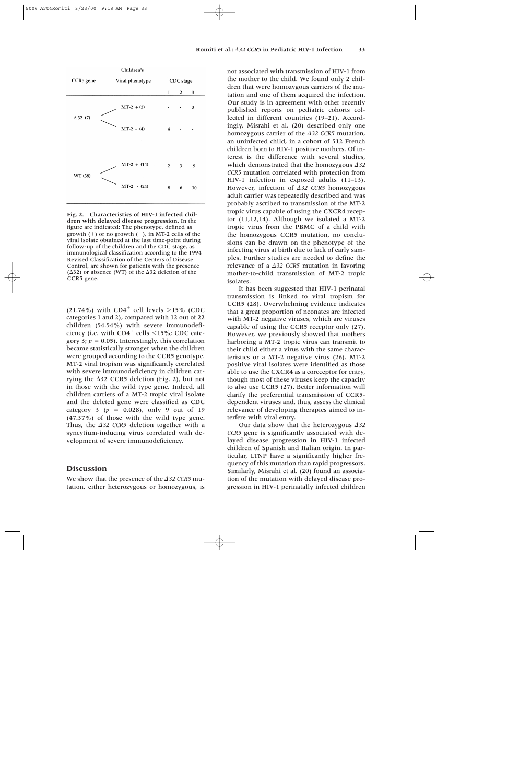

**Fig. 2. Characteristics of HIV-1 infected children with delayed disease progression.** In the figure are indicated: The phenotype, defined as growth  $(+)$  or no growth  $(-)$ , in MT-2 cells of the viral isolate obtained at the last time-point during follow-up of the children and the CDC stage, as immunological classification according to the 1994 Revised Classification of the Centers of Disease Control, are shown for patients with the presence  $(\Delta$ 32) or absence (WT) of the  $\Delta$ 32 deletion of the CCR5 gene.

(21.74%) with  $CD4^+$  cell levels  $>15\%$  (CDC categories 1 and 2), compared with 12 out of 22 children (54.54%) with severe immunodeficiency (i.e. with  $CD4^+$  cells  $\leq$ 15%; CDC category 3;  $p = 0.05$ ). Interestingly, this correlation became statistically stronger when the children were grouped according to the CCR5 genotype. MT-2 viral tropism was significantly correlated with severe immunodeficiency in children carrying the  $\Delta$ 32 CCR5 deletion (Fig. 2), but not in those with the wild type gene. Indeed, all children carriers of a MT-2 tropic viral isolate and the deleted gene were classified as CDC category 3 ( $p = 0.028$ ), only 9 out of 19 (47.37%) of those with the wild type gene. Thus, the  $\triangle$ 32 CCR5 deletion together with a syncytium-inducing virus correlated with development of severe immunodeficiency.

## **Discussion**

We show that the presence of the  $\Delta$ 32 CCR5 mutation, either heterozygous or homozygous, is not associated with transmission of HIV-1 from the mother to the child. We found only 2 children that were homozygous carriers of the mutation and one of them acquired the infection. Our study is in agreement with other recently published reports on pediatric cohorts collected in different countries (19–21). Accordingly, Misrahi et al. (20) described only one homozygous carrier of the  $\Delta$ 32 CCR5 mutation, an uninfected child, in a cohort of 512 French children born to HIV-1 positive mothers. Of interest is the difference with several studies, which demonstrated that the homozygous  $\Delta$ 32 *CCR5* mutation correlated with protection from HIV-1 infection in exposed adults (11–13). However, infection of  $\Delta 32$  CCR5 homozygous adult carrier was repeatedly described and was probably ascribed to transmission of the MT-2 tropic virus capable of using the CXCR4 receptor (11,12,14). Although we isolated a MT-2 tropic virus from the PBMC of a child with the homozygous CCR5 mutation, no conclusions can be drawn on the phenotype of the infecting virus at birth due to lack of early samples. Further studies are needed to define the relevance of a  $\triangle$ 32 CCR5 mutation in favoring mother-to-child transmission of MT-2 tropic isolates.

It has been suggested that HIV-1 perinatal transmission is linked to viral tropism for CCR5 (28). Overwhelming evidence indicates that a great proportion of neonates are infected with MT-2 negative viruses, which are viruses capable of using the CCR5 receptor only (27). However, we previously showed that mothers harboring a MT-2 tropic virus can transmit to their child either a virus with the same characteristics or a MT-2 negative virus (26). MT-2 positive viral isolates were identified as those able to use the CXCR4 as a coreceptor for entry, though most of these viruses keep the capacity to also use CCR5 (27). Better information will clarify the preferential transmission of CCR5 dependent viruses and, thus, assess the clinical relevance of developing therapies aimed to interfere with viral entry.

Our data show that the heterozygous  $\triangle$ 32 *CCR5* gene is significantly associated with delayed disease progression in HIV-1 infected children of Spanish and Italian origin. In particular, LTNP have a significantly higher frequency of this mutation than rapid progressors. Similarly, Misrahi et al. (20) found an association of the mutation with delayed disease progression in HIV-1 perinatally infected children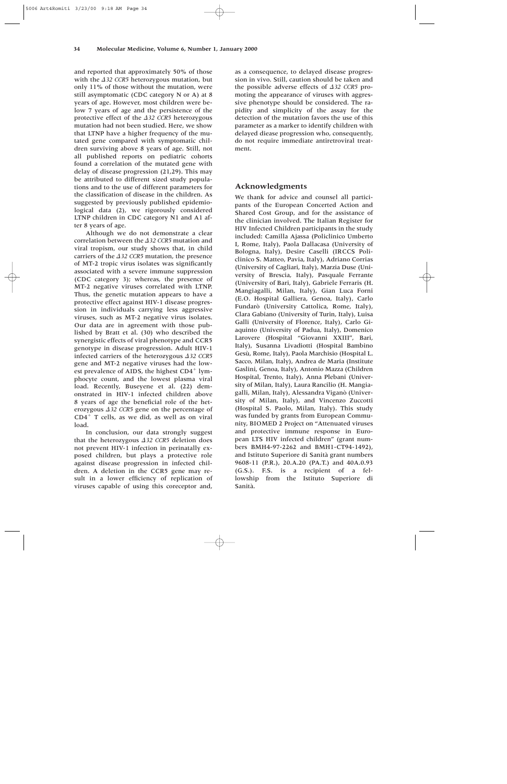and reported that approximately 50% of those with the  $\Delta$ 32 CCR5 heterozygous mutation, but only 11% of those without the mutation, were still asymptomatic (CDC category N or A) at 8 years of age. However, most children were below 7 years of age and the persistence of the protective effect of the *Δ32 CCR5* heterozygous mutation had not been studied. Here, we show that LTNP have a higher frequency of the mutated gene compared with symptomatic children surviving above 8 years of age. Still, not all published reports on pediatric cohorts found a correlation of the mutated gene with delay of disease progression (21,29). This may be attributed to different sized study populations and to the use of different parameters for the classification of disease in the children. As suggested by previously published epidemiological data (2), we rigorously considered LTNP children in CDC category N1 and A1 after 8 years of age.

Although we do not demonstrate a clear correlation between the  $\Delta$ 32 CCR5 mutation and viral tropism, our study shows that, in child carriers of the  $\triangle$ 32 CCR5 mutation, the presence of MT-2 tropic virus isolates was significantly associated with a severe immune suppression (CDC category 3); whereas, the presence of MT-2 negative viruses correlated with LTNP. Thus, the genetic mutation appears to have a protective effect against HIV-1 disease progression in individuals carrying less aggressive viruses, such as MT-2 negative virus isolates. Our data are in agreement with those published by Bratt et al. (30) who described the synergistic effects of viral phenotype and CCR5 genotype in disease progression. Adult HIV-1 infected carriers of the heterozygous  $\triangle$ 32 CCR5 gene and MT-2 negative viruses had the lowest prevalence of AIDS, the highest  $CD4<sup>+</sup>$  lymphocyte count, and the lowest plasma viral load. Recently, Buseyene et al. (22) demonstrated in HIV-1 infected children above 8 years of age the beneficial role of the heterozygous  $\triangle$ 32 CCR5 gene on the percentage of  $CD4<sup>+</sup>$  T cells, as we did, as well as on viral load.

In conclusion, our data strongly suggest that the heterozygous  $\triangle$ 32 CCR5 deletion does not prevent HIV-1 infection in perinatally exposed children, but plays a protective role against disease progression in infected children. A deletion in the CCR5 gene may result in a lower efficiency of replication of viruses capable of using this coreceptor and,

as a consequence, to delayed disease progression in vivo. Still, caution should be taken and the possible adverse effects of *Δ32 CCR5* promoting the appearance of viruses with aggressive phenotype should be considered. The rapidity and simplicity of the assay for the detection of the mutation favors the use of this parameter as a marker to identify children with delayed diease progression who, consequently, do not require immediate antiretroviral treatment.

## **Acknowledgments**

We thank for advice and counsel all participants of the European Concerted Action and Shared Cost Group, and for the assistance of the clinician involved. The Italian Register for HIV Infected Children participants in the study included: Camilla Ajassa (Policlinico Umberto I, Rome, Italy), Paola Dallacasa (University of Bologna, Italy), Desire Caselli (IRCCS Policlinico S. Matteo, Pavia, Italy), Adriano Corrias (University of Cagliari, Italy), Marzia Duse (University of Brescia, Italy), Pasquale Ferrante (University of Bari, Italy), Gabriele Ferraris (H. Mangiagalli, Milan, Italy), Gian Luca Forni (E.O. Hospital Galliera, Genoa, Italy), Carlo Fundarò (University Cattolica, Rome, Italy), Clara Gabiano (University of Turin, Italy), Luisa Galli (University of Florence, Italy), Carlo Giaquinto (University of Padua, Italy), Domenico Larovere (Hospital "Giovanni XXIII", Bari, Italy), Susanna Livadiotti (Hospital Bambino Gesù, Rome, Italy), Paola Marchisio (Hospital L. Sacco, Milan, Italy), Andrea de Maria (Institute Gaslini, Genoa, Italy), Antonio Mazza (Children Hospital, Trento, Italy), Anna Plebani (University of Milan, Italy), Laura Rancilio (H. Mangiagalli, Milan, Italy), Alessandra Viganò (University of Milan, Italy), and Vincenzo Zuccotti (Hospital S. Paolo, Milan, Italy). This study was funded by grants from European Community, BIOMED 2 Project on "Attenuated viruses and protective immune response in European LTS HIV infected children" (grant numbers BMH4-97-2262 and BMH1-CT94-1492), and Istituto Superiore di Sanità grant numbers 9608-11 (P.R.), 20.A.20 (PA.T.) and 40A.0.93 (G.S.). F.S. is a recipient of a fellowship from the Istituto Superiore di Sanità.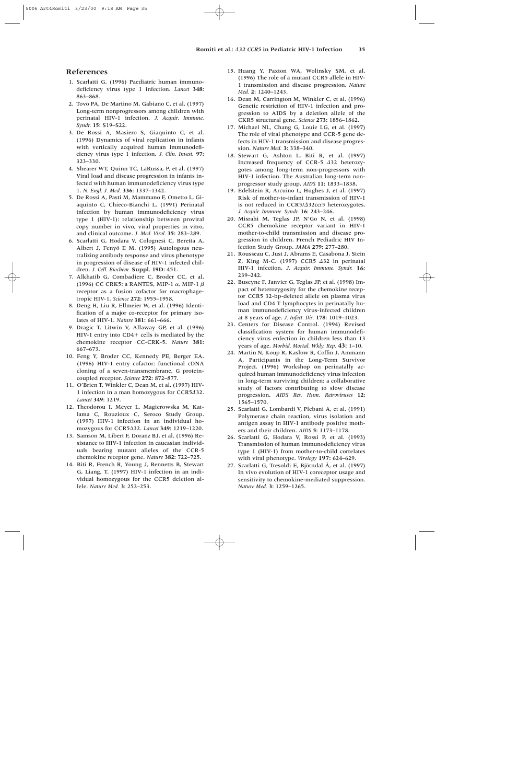## **References**

- 1. Scarlatti G. (1996) Paediatric human immunodeficiency virus type 1 infection. *Lancet* **348:** 863–868.
- 2. Tovo PA, De Martino M, Gabiano C, et al. (1997) Long-term nonprogressors among children with perinatal HIV-1 infection. *J. Acquir. Immune. Syndr.* **15:** S19–S22.
- 3. De Rossi A, Masiero S, Giaquinto C, et al. (1996) Dynamics of viral replication in infants with vertically acquired human immunodeficiency virus type 1 infection. *J. Clin. Invest.* **97:** 323–330.
- 4. Shearer WT, Quinn TC, LaRussa, P, et al. (1997) Viral load and disease progression in infants infected with human immunodeficiency virus type 1. *N. Engl. J. Med.* **336:** 1337–1342.
- 5. De Rossi A, Pasti M, Mammano F, Ometto L, Giaquinto C, Chieco-Bianchi L. (1991) Perinatal infection by human immunodeficiency virus type 1 (HIV-1): relationship between proviral copy number in vivo, viral properties in vitro, and clinical outcome. *J. Med. Virol.* **35:** 283–289.
- 6. Scarlatti G, Hodara V, Colognesi C, Beretta A, Albert J, Fenyö E M. (1995) Autologous neutralizing antibody response and virus phenotype in progression of disease of HIV-1 infected children. *J. Cell. Biochem.* **Suppl. 19D:** 451.
- 7. Alkhatib G, Combadiere C, Broder CC, et al. (1996) CC CRK5: a RANTES, MIP-1  $\alpha$ , MIP-1  $\beta$ receptor as a fusion cofactor for macrophagetropic HIV-1. *Science* **272:** 1955–1958.
- 8. Deng H, Liu R, Ellmeier W, et al. (1996) Identification of a major co-receptor for primary isolates of HIV-1. *Nature* **381:** 661–666.
- 9. Dragic T, Litwin V, Allaway GP, et al. (1996) HIV-1 entry into  $CD4+$  cells is mediated by the chemokine receptor CC-CRK-5. *Nature* **381:** 667–673.
- 10. Feng Y, Broder CC, Kennedy PE, Berger EA. (1996) HIV-1 entry cofactor: functional cDNA cloning of a seven-transmembrane, G proteincoupled receptor. *Science* **272:** 872–877.
- 11. O'Brien T, Winkler C, Dean M, et al. (1997) HIV-1 infection in a man homozygous for CCR5432. *Lancet* **349:** 1219.
- 12. Theodorou I, Meyer L, Magierowska M, Katlama C, Rouzioux C, Seroco Study Group. (1997) HIV-1 infection in an individual homozygous for CCR532. *Lancet* **349:** 1219–1220.
- 13. Samson M, Libert F, Doranz BJ, et al. (1996) Resistance to HIV-1 infection in caucasian individuals bearing mutant alleles of the CCR-5 chemokine receptor gene. *Nature* **382:** 722–725.
- 14. Biti R, French R, Young J, Bennetts B, Stewart G, Liang, T. (1997) HIV-1 infection in an individual homozygous for the CCR5 deletion allele. *Nature Med.* **3:** 252–253.
- 15. Huang Y, Paxton WA, Wolinsky SM, et al. (1996) The role of a mutant CCR5 allele in HIV-1 transmission and disease progression. *Nature Med.* **2:** 1240–1243.
- 16. Dean M, Carrington M, Winkler C, et al. (1996) Genetic restriction of HIV-1 infection and progression to AIDS by a deletion allele of the CKR5 structural gene. *Science* **273:** 1856–1862.
- 17. Michael NL, Chang G, Louie LG, et al. (1997) The role of viral phenotype and CCR-5 gene defects in HIV-1 transmission and disease progression. *Nature Med.* **3:** 338–340.
- 18. Stewart G, Ashton L, Biti R, et al. (1997) Increased frequency of CCR-5 432 heterozygotes among long-term non-progressors with HIV-1 infection. The Australian long-term nonprogressor study group. *AIDS* **11:** 1833–1838.
- 19. Edelstein R, Arcuino L, Hughes J, et al. (1997) Risk of mother-to-infant transmission of HIV-1 is not reduced in CCR5/*A*32ccr5 heterozygotes. *J. Acquir. Immune. Syndr.* **16:** 243–246.
- 20. Misrahi M, Teglas JP, N'Go N, et al. (1998) CCR5 chemokine receptor variant in HIV-1 mother-to-child transmission and disease progression in children. French Pediadric HIV Infection Study Group. *JAMA* **279:** 277–280.
- 21. Rousseau C, Just J, Abrams E, Casabona J, Stein Z, King M-C. (1997) CCR5  $\triangle$ 32 in perinatal HIV-1 infection. *J. Acquir. Immune. Syndr.* **16:** 239–242.
- 22. Buseyne F, Janvier G, Teglas JP, et al. (1998) Impact of heterozygosity for the chemokine receptor CCR5 32-bp-deleted allele on plasma virus load and CD4 T lymphocytes in perinatally human immunodeficiency virus-infected children at 8 years of age. *J. Infect. Dis.* **178:** 1019–1023.
- 23. Centers for Disease Control. (1994) Revised classification system for human immunodeficiency virus enfection in children less than 13 years of age. *Morbid. Mortal. Wkly. Rep.* **43:** 1–10.
- 24. Martin N, Koup R, Kaslow R, Coffin J, Ammann A, Participants in the Long-Term Survivor Project. (1996) Workshop on perinatally acquired human immunodeficiency virus infection in long-term surviving children: a collaborative study of factors contributing to slow disease progression. *AIDS Res. Hum. Retroviruses* **12:** 1565–1570.
- 25. Scarlatti G, Lombardi V, Plebani A, et al. (1991) Polymerase chain reaction, virus isolation and antigen assay in HIV-1 antibody positive mothers and their children. *AIDS* **5:** 1173–1178.
- 26. Scarlatti G, Hodara V, Rossi P, et al. (1993) Transmission of human immunodeficiency virus type 1 (HIV-1) from mother-to-child correlates with viral phenotype. *Virology* **197:** 624–629.
- 27. Scarlatti G, Tresoldi E, Björndal Å, et al. (1997) In vivo evolution of HIV-1 coreceptor usage and sensitivity to chemokine-mediated suppression. *Nature Med.* **3:** 1259–1265.